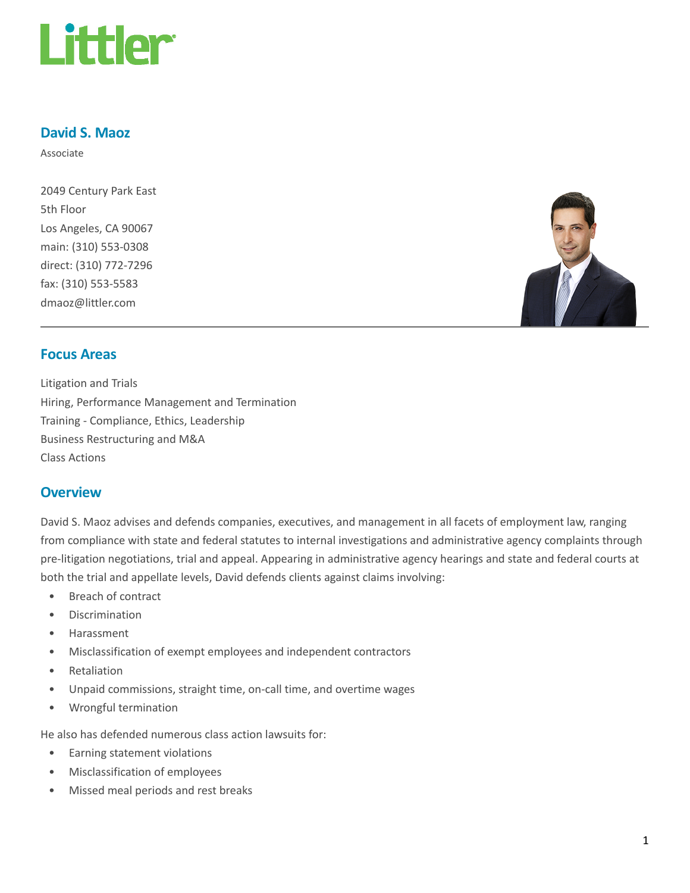

#### David S. Maoz

Associate

2049 Century Park East 5th Floor Los Angeles, CA 90067 main: (310) 553-0308 direct: (310) 772-7296 fax: (310) 553-5583 dmaoz@littler.com



#### Focus Areas

Litigation and Trials Hiring, Performance Management and Termination Training - Compliance, Ethics, Leadership Business Restructuring and M&A Class Actions

#### **Overview**

David S. Maoz advises and defends companies, executives, and management in all facets of employment law, ranging from compliance with state and federal statutes to internal investigations and administrative agency complaints through pre-litigation negotiations, trial and appeal. Appearing in administrative agency hearings and state and federal courts at both the trial and appellate levels, David defends clients against claims involving:

- Breach of contract
- Discrimination
- Harassment
- Misclassification of exempt employees and independent contractors
- Retaliation
- Unpaid commissions, straight time, on-call time, and overtime wages
- Wrongful termination

He also has defended numerous class action lawsuits for:

- Earning statement violations
- Misclassification of employees
- Missed meal periods and rest breaks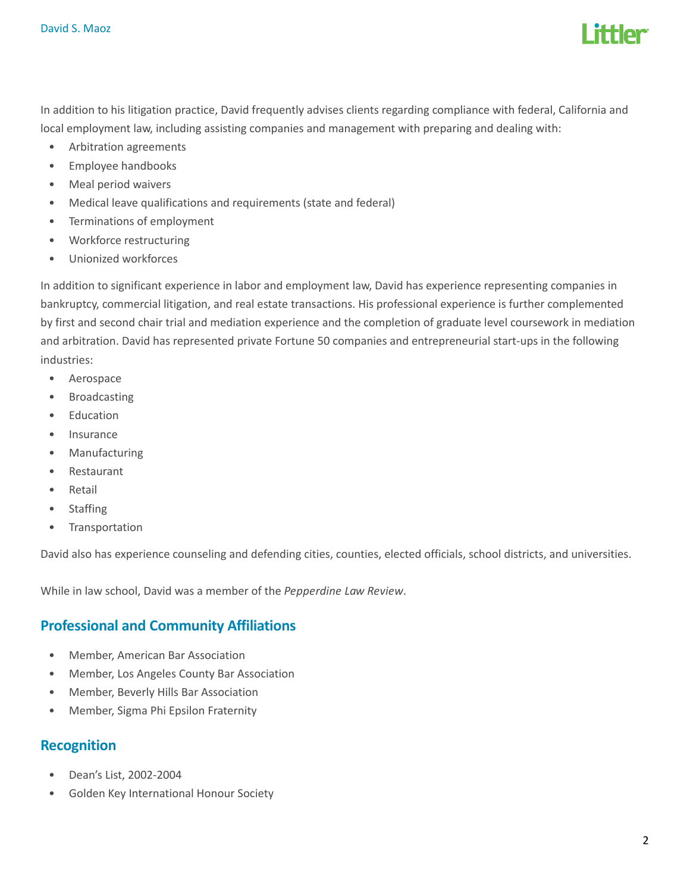

In addition to his litigation practice, David frequently advises clients regarding compliance with federal, California and local employment law, including assisting companies and management with preparing and dealing with:

- Arbitration agreements
- Employee handbooks
- Meal period waivers
- Medical leave qualifications and requirements (state and federal)
- Terminations of employment
- Workforce restructuring
- Unionized workforces

In addition to significant experience in labor and employment law, David has experience representing companies in bankruptcy, commercial litigation, and real estate transactions. His professional experience is further complemented by first and second chair trial and mediation experience and the completion of graduate level coursework in mediation and arbitration. David has represented private Fortune 50 companies and entrepreneurial start-ups in the following industries:

- Aerospace
- Broadcasting
- Education
- Insurance
- **Manufacturing**
- Restaurant
- Retail
- Staffing
- Transportation

David also has experience counseling and defending cities, counties, elected officials, school districts, and universities.

While in law school, David was a member of the Pepperdine Law Review.

## Professional and Community Affiliations

- Member, American Bar Association
- Member, Los Angeles County Bar Association
- Member, Beverly Hills Bar Association
- Member, Sigma Phi Epsilon Fraternity

#### Recognition

- Dean's List, 2002-2004
- Golden Key International Honour Society